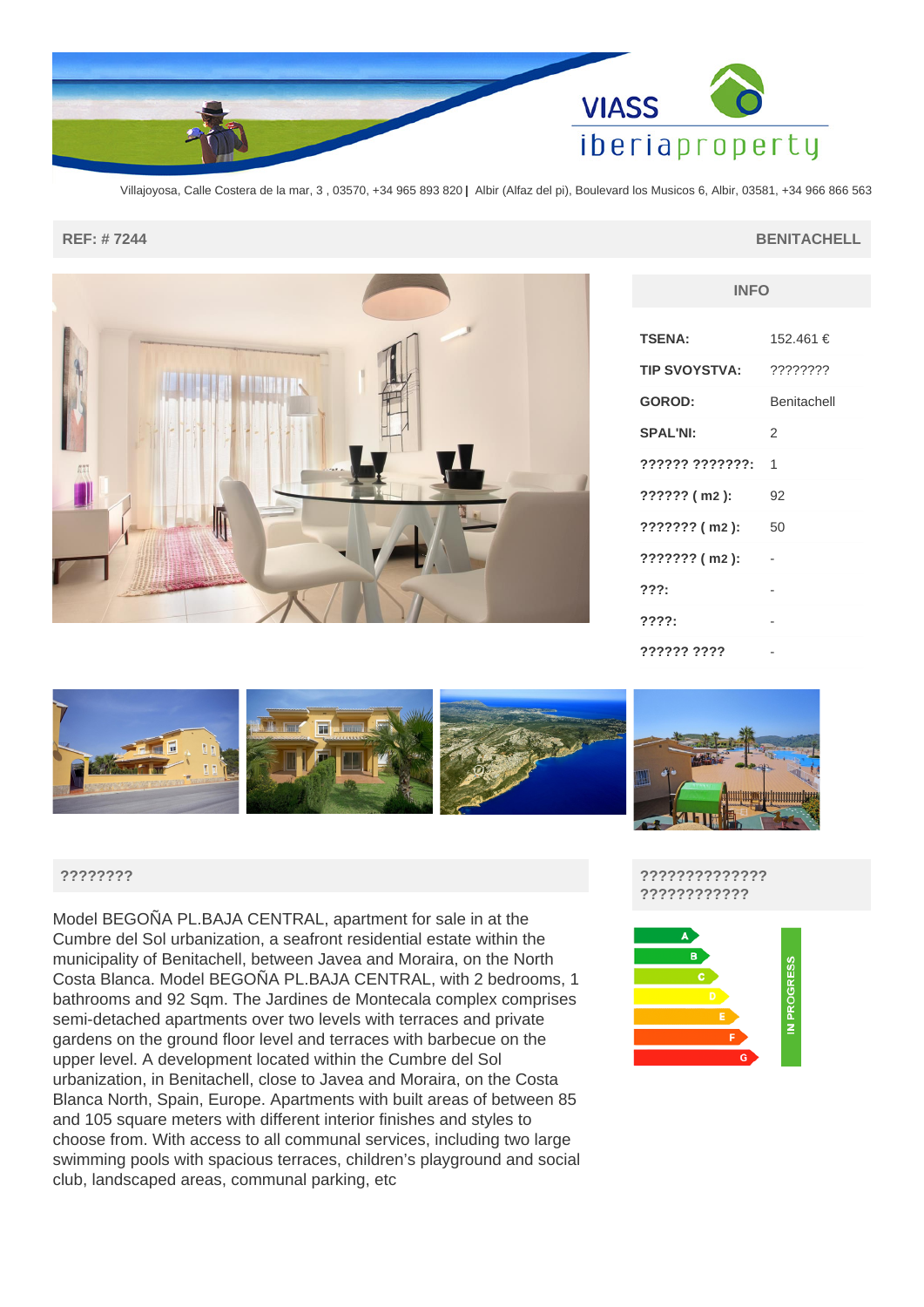

Villajoyosa, Calle Costera de la mar, 3 , 03570, +34 965 893 820 **|** Albir (Alfaz del pi), Boulevard los Musicos 6, Albir, 03581, +34 966 866 563

### **REF: # 7244 BENITACHELL**

| INFU                 |             |
|----------------------|-------------|
| <b>TSENA:</b>        | 152.461 €   |
| <b>TIP SVOYSTVA:</b> | ????????    |
| <b>GOROD:</b>        | Benitachell |
| <b>SPAL'NI:</b>      | 2           |
| ?????? ???????:      | 1           |
| $??????$ ( m2 ):     | 92          |
| $???????$ ( m2 ):    | 50          |
| $???????$ ( m2 ):    |             |
| ???:                 |             |
| 777?:                |             |
| ?????? ????          |             |

**INFO**



## **????????**

Model BEGOÑA PL.BAJA CENTRAL, apartment for sale in at the Cumbre del Sol urbanization, a seafront residential estate within the municipality of Benitachell, between Javea and Moraira, on the North Costa Blanca. Model BEGOÑA PL.BAJA CENTRAL, with 2 bedrooms, 1 bathrooms and 92 Sqm. The Jardines de Montecala complex comprises semi-detached apartments over two levels with terraces and private gardens on the ground floor level and terraces with barbecue on the upper level. A development located within the Cumbre del Sol urbanization, in Benitachell, close to Javea and Moraira, on the Costa Blanca North, Spain, Europe. Apartments with built areas of between 85 and 105 square meters with different interior finishes and styles to choose from. With access to all communal services, including two large swimming pools with spacious terraces, children's playground and social club, landscaped areas, communal parking, etc

## **?????????????? ????????????**